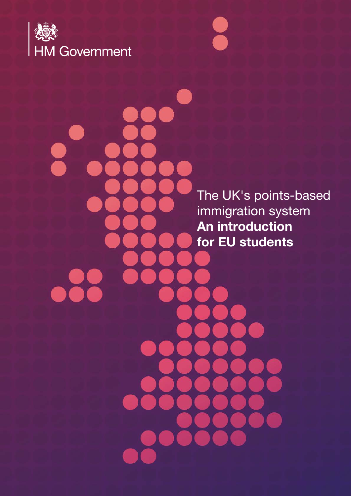

The UK's points-based immigration system An introduction for EU students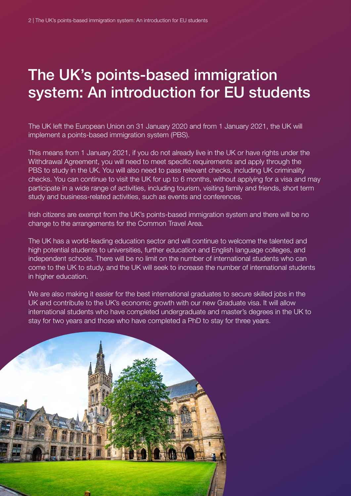### The UK's points-based immigration system: An introduction for EU students

The UK left the European Union on 31 January 2020 and from 1 January 2021, the UK will implement a points-based immigration system (PBS).

This means from 1 January 2021, if you do not already live in the UK or have rights under the Withdrawal Agreement, you will need to meet specific requirements and apply through the PBS to study in the UK. You will also need to pass relevant checks, including UK criminality checks. You can continue to visit the UK for up to 6 months, without applying for a visa and may participate in a wide range of activities, including tourism, visiting family and friends, short term study and business-related activities, such as events and conferences.

Irish citizens are exempt from the UK's points-based immigration system and there will be no change to the arrangements for the Common Travel Area.

The UK has a world-leading education sector and will continue to welcome the talented and high potential students to universities, further education and English language colleges, and independent schools. There will be no limit on the number of international students who can come to the UK to study, and the UK will seek to increase the number of international students in higher education.

We are also making it easier for the best international graduates to secure skilled jobs in the UK and contribute to the UK's economic growth with our new Graduate visa. It will allow international students who have completed undergraduate and master's degrees in the UK to stay for two years and those who have completed a PhD to stay for three years.

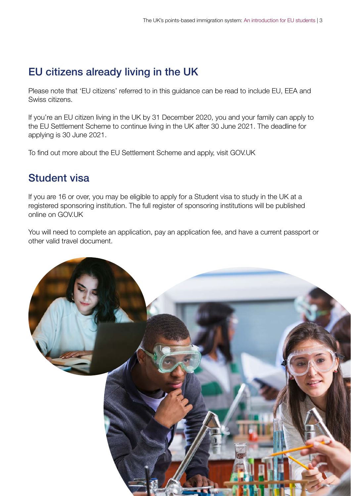#### EU citizens already living in the UK

Please note that 'EU citizens' referred to in this guidance can be read to include EU, EEA and Swiss citizens.

If you're an EU citizen living in the UK by 31 December 2020, you and your family can apply to the EU Settlement Scheme to continue living in the UK after 30 June 2021. The deadline for applying is 30 June 2021.

To find out more about the EU Settlement Scheme and apply, visit [GOV.UK](http://www.gov.uk/settled-status-eu-citizens-families)

#### Student visa

If you are 16 or over, you may be eligible to apply for a Student visa to study in the UK at a registered sponsoring institution. The full register of sponsoring institutions will be published online on [GOV.UK](http://GOV.UK)

You will need to complete an application, pay an application fee, and have a current passport or other valid travel document.

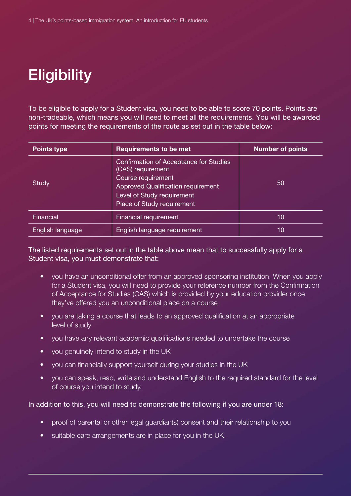# **Eligibility**

To be eligible to apply for a Student visa, you need to be able to score 70 points. Points are non-tradeable, which means you will need to meet all the requirements. You will be awarded points for meeting the requirements of the route as set out in the table below:

| <b>Points type</b> | <b>Requirements to be met</b>                                                                                                                                                              | <b>Number of points</b> |
|--------------------|--------------------------------------------------------------------------------------------------------------------------------------------------------------------------------------------|-------------------------|
| <b>Study</b>       | Confirmation of Acceptance for Studies<br>(CAS) requirement<br>Course requirement<br><b>Approved Qualification requirement</b><br>Level of Study requirement<br>Place of Study requirement | 50                      |
| Financial          | <b>Financial requirement</b>                                                                                                                                                               | 10                      |
| English language   | English language requirement                                                                                                                                                               | 10                      |

The listed requirements set out in the table above mean that to successfully apply for a Student visa, you must demonstrate that:

- you have an unconditional offer from an approved sponsoring institution. When you apply for a Student visa, you will need to provide your reference number from the Confirmation of Acceptance for Studies (CAS) which is provided by your education provider once they've offered you an unconditional place on a course
- you are taking a course that leads to an approved qualification at an appropriate level of study
- you have any relevant academic qualifications needed to undertake the course
- you genuinely intend to study in the UK
- you can financially support yourself during your studies in the UK
- you can speak, read, write and understand English to the required standard for the level of course you intend to study.

In addition to this, you will need to demonstrate the following if you are under 18:

- proof of parental or other legal guardian(s) consent and their relationship to you
- suitable care arrangements are in place for you in the UK.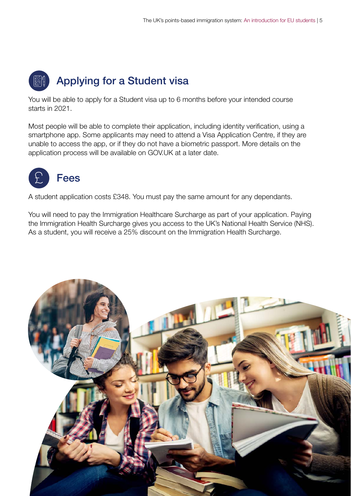## Applying for a Student visa

You will be able to apply for a Student visa up to 6 months before your intended course starts in 2021.

Most people will be able to complete their application, including identity verification, using a smartphone app. Some applicants may need to attend a Visa Application Centre, if they are unable to access the app, or if they do not have a biometric passport. More details on the application process will be available on [GOV.UK](http://GOV.UK) at a later date.



A student application costs £348. You must pay the same amount for any dependants.

You will need to pay the Immigration Healthcare Surcharge as part of your application. Paying the Immigration Health Surcharge gives you access to the UK's National Health Service (NHS). As a student, you will receive a 25% discount on the Immigration Health Surcharge.

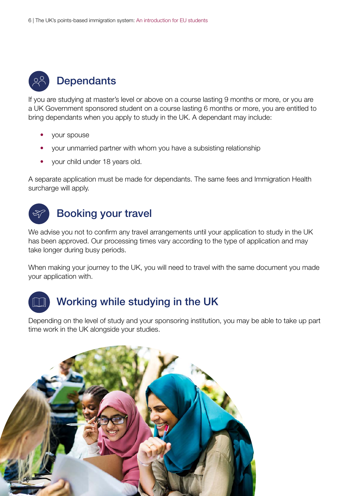

#### **Dependants**

If you are studying at master's level or above on a course lasting 9 months or more, or you are a UK Government sponsored student on a course lasting 6 months or more, you are entitled to bring dependants when you apply to study in the UK. A dependant may include:

- your spouse
- your unmarried partner with whom you have a subsisting relationship
- your child under 18 years old.

A separate application must be made for dependants. The same fees and Immigration Health surcharge will apply.

#### Booking your travel

We advise you not to confirm any travel arrangements until your application to study in the UK has been approved. Our processing times vary according to the type of application and may take longer during busy periods.

When making your journey to the UK, you will need to travel with the same document you made your application with.



#### Working while studying in the UK

Depending on the level of study and your sponsoring institution, you may be able to take up part time work in the UK alongside your studies.

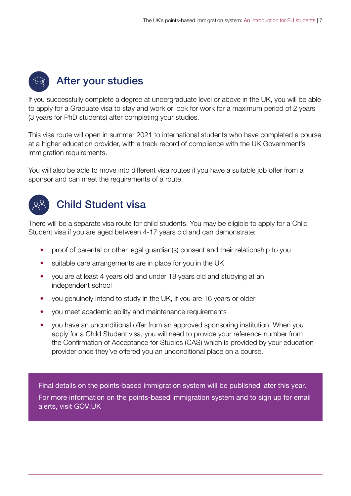### After your studies

If you successfully complete a degree at undergraduate level or above in the UK, you will be able to apply for a Graduate visa to stay and work or look for work for a maximum period of 2 years (3 years for PhD students) after completing your studies.

This visa route will open in summer 2021 to international students who have completed a course at a higher education provider, with a track record of compliance with the UK Government's immigration requirements.

You will also be able to move into different visa routes if you have a suitable job offer from a sponsor and can meet the requirements of a route.



#### Child Student visa

There will be a separate visa route for child students. You may be eligible to apply for a Child Student visa if you are aged between 4-17 years old and can demonstrate:

- proof of parental or other legal guardian(s) consent and their relationship to you
- suitable care arrangements are in place for you in the UK
- you are at least 4 years old and under 18 years old and studying at an independent school
- you genuinely intend to study in the UK, if you are 16 years or older
- you meet academic ability and maintenance requirements
- you have an unconditional offer from an approved sponsoring institution. When you apply for a Child Student visa, you will need to provide your reference number from the Confirmation of Acceptance for Studies (CAS) which is provided by your education provider once they've offered you an unconditional place on a course.

Final details on the points-based immigration system will be published later this year.

For more information on the points-based immigration system and to sign up for email alerts, visit [GOV.UK](https://www.gov.uk/guidance/new-immigration-system-what-you-need-to-know)